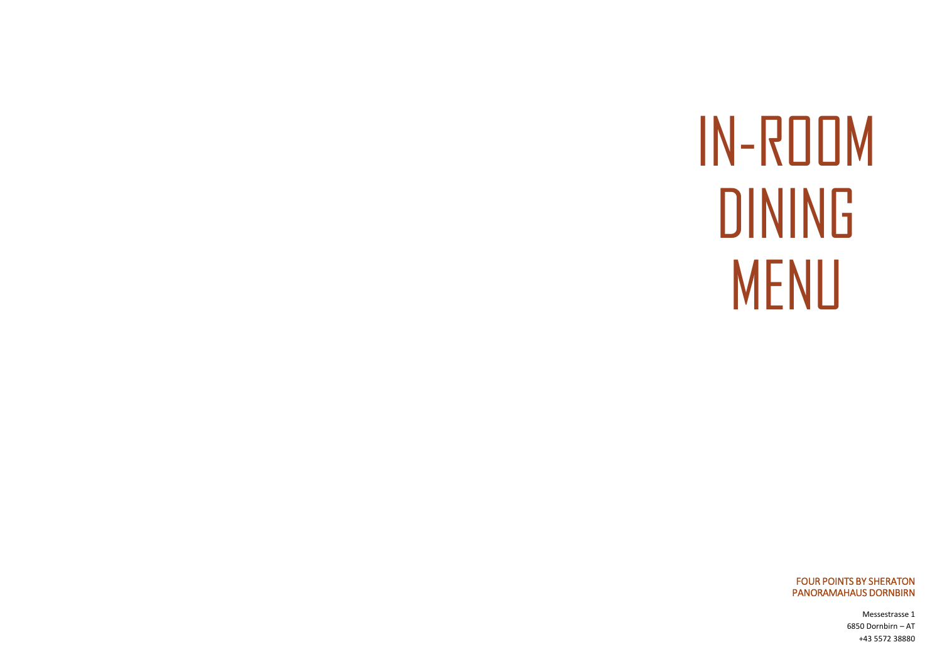# IN-ROOM **DINING MENU**

**FOUR POINTS BY SHERATON** PANORAMAHAUS DORNBIRN

> Messestrasse 1 6850 Dornbirn - AT +43 5572 38880